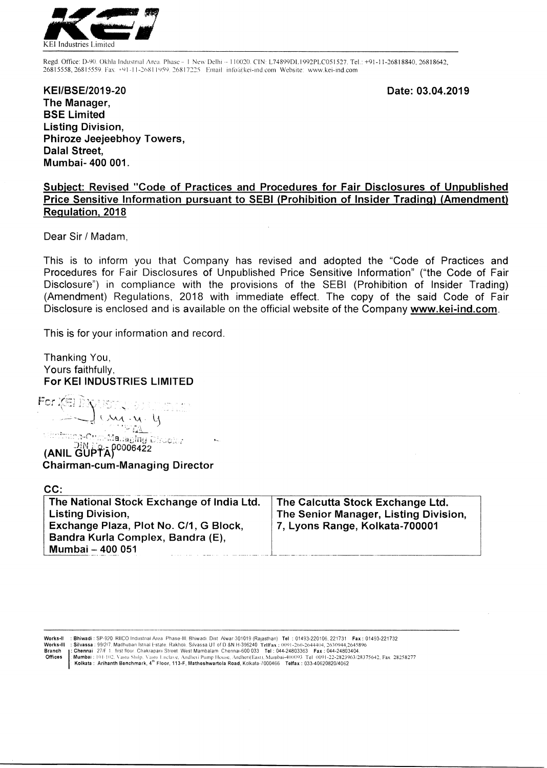

Regd. Office: D-90. Okhla Industrial Area. Phase - 1 New Delhi - 110020. CIN: L74899DL1992PLC051527. Tel.: +91-11-26818840, 26818642, 26815558, 26815559. Fax. +91-11-26811959. 26817225. Email: info@kei-ind.com Website: www.kei-ind.com

**Date: 03.04.2019** 

**KEI/BSE/2019-20 The Manager, BSE Limited Listing Division, Phiroze Jeejeebhoy Towers, Dalai Street, Mumbai- 400 001.** 

# **Subject: Revised "Code of Practices and Procedures for Fair Disclosures of Unpublished Price Sensitive Information pursuant to SEBI (Prohibition of Insider Trading) (Amendment) Regulation, 2018**

Dear Sir / Madam,

This is to inform you that Company has revised and adopted the "Code of Practices and Procedures for Fair Disclosures of Unpublished Price Sensitive Information" ("the Code of Fair Disclosure") in compliance with the provisions of the SEBI (Prohibition of Insider Trading) (Amendment) Regulations, 2018 with immediate effect. The copy of the said Code of Fair Disclosure is enclosed and is available on the official website of the Company www.kei-ind.com.

This is for your information and record.

Thanking You, Yours faithfully, **For KEI INDUSTRIES LIMITED** 

For  $\leftarrow$  **l CAA A UST 2 CAA A U**<br> **CAA A U**<br> **CANIL GUPTA**<sup>0006422</sup>

**Chairman-cum-Managing Director** 

| CC:                                                                                                                                                                      |                                                                                                             |
|--------------------------------------------------------------------------------------------------------------------------------------------------------------------------|-------------------------------------------------------------------------------------------------------------|
| The National Stock Exchange of India Ltd.<br><b>Listing Division,</b><br>Exchange Plaza, Plot No. C/1, G Block,<br>Bandra Kurla Complex, Bandra (E),<br>Mumbai - 400 051 | The Calcutta Stock Exchange Ltd.<br>The Senior Manager, Listing Division,<br>7, Lyons Range, Kolkata-700001 |
|                                                                                                                                                                          |                                                                                                             |

Works-II : Bhiwadi : SP-920 RIICO Industrial Area Phase-III, Bhiwadi. Dist Alwar 301019 (Rajasthan) Tel : 01493-220106, 221731 Fax : 01493-221732<br>Works-III : Silvassa : 99/2/7, Madhuban Istrial Estate. Rakholi. Silvassa UT

Works-II : Bhiwadi : SP-920 RIICO Industrial Area Phase-III, Bhiwadi. Dist. Alwar-301019 (Rajasthan) Tel : 01493-220106, 221731 Fax : 01493-221732<br>Works-III : Silvassa : 99/277. Madhuban Istral Estate. Rakholi. Slivassa UT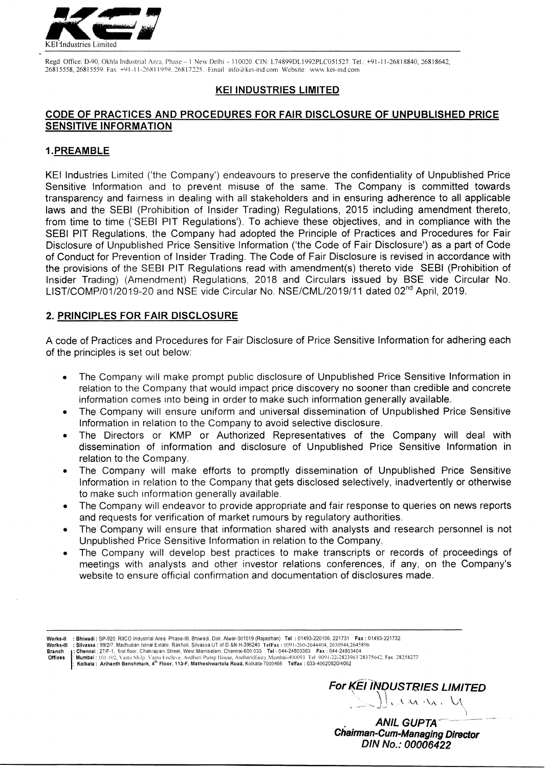

Regd. Office: D-90, Okhla Industrial Area, Phase -- 1 New Delhi -- 110020. CIN: L74899DL1992PLC051527. Tel.: +91-11-26818840, 26818642, 26815558, 26815559. Fax: +91-11-26811959, 26817225. Email: info@kei-ind.com Website: www.kei-ind.com

#### **KEI INDUSTRIES LIMITED**

# **CODE OF PRACTICES AND PROCEDURES FOR FAIR DISCLOSURE OF UNPUBLISHED PRICE SENSITIVE INFORMATION**

### **1.PREAMBLE**

KEI Industries Limited ('the Company') endeavours to preserve the confidentiality of Unpublished Price Sensitive Information and to prevent misuse of the same. The Company is committed towards transparency and fairness in dealing with all stakeholders and in ensuring adherence to all applicable laws and the SEBI (Prohibition of Insider Trading) Regulations, 2015 including amendment thereto, from time to time ('SEBI PIT Regulations'). To achieve these objectives, and in compliance with the SEBI PIT Regulations, the Company had adopted the Principle of Practices and Procedures for Fair Disclosure of Unpublished Price Sensitive Information ('the Code of Fair Disclosure') as a part of Code of Conduct for Prevention of Insider Trading. The Code of Fair Disclosure is revised in accordance with the provisions of the SEBI PIT Regulations read with amendment(s) thereto vide SEBI (Prohibition of Insider Trading) (Amendment) Regulations, 2018 and Circulars issued by BSE vide Circular No. LIST/COMP/01/2019-20 and NSE vide Circular No. NSE/CML/2019/11 dated 02<sup>nd</sup> April, 2019.

### **2. PRINCIPLES FOR FAIR DISCLOSURE**

A code of Practices and Procedures for Fair Disclosure of Price Sensitive Information for adhering each of the principles is set out below:

- The Company will make prompt public disclosure of Unpublished Price Sensitive Information in relation to the Company that would impact price discovery no sooner than credible and concrete information comes into being in order to make such information generally available.
- The Company will ensure uniform and universal dissemination of Unpublished Price Sensitive Information in relation to the Company to avoid selective disclosure.
- The Directors or KMP or Authorized Representatives of the Company will deal with dissemination of information and disclosure of Unpublished Price Sensitive Information in relation to the Company.
- The Company will make efforts to promptly dissemination of Unpublished Price Sensitive Information in relation to the Company that gets disclosed selectively, inadvertently or otherwise to make such information generally available.
- The Company will endeavor to provide appropriate and fair response to queries on news reports and requests for verification of market rumours by regulatory authorities.
- The Company will ensure that information shared with analysts and research personnel is not Unpublished Price Sensitive Information in relation to the Company.
- The Company will develop best practices to make transcripts or records of proceedings of meetings with analysts and other investor relations conferences, if any, on the Company's website to ensure official confirmation and documentation of disclosures made.

**Works-II : Bhiwadi :** SP-920, RIICO Industrial Area. Phase-III, Bhiwadi, Dist. Alwar-301019 (Rajasthan) **Tel :** 01493-220106, 221731 **Fax :** 01493-221732.

Works-III : Silvassa : 99/2/7, Madhuban Istral Estate, Rakholi, Silvassa UT of D &N.H-396240. TelFax : 0091-260-2644404, 2630944,2645896<br>Branch j : Chennai : 27/F-1, first floor, Chakrapani Street, West Mambalam, Chennai

Offices |: Mumbai : 101/102, Vastu Shilp, Vastu Enclave, Andheri Pump House, Andheri(East), Mumbai-400093. Tel. 0091-22-2823963/28375642, Fax. 28258277<br>[: Kolkata : Arlhanth Benchmark, 4<sup>th</sup> Floor, 113-F, Matheshwartola R



**ANIL GUPTA Chairman-Gum-Managing Director DIN No.: 00006422**